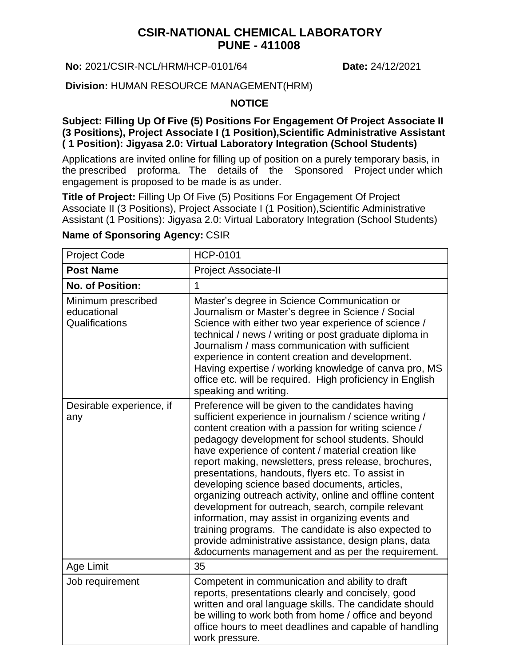## **CSIR-NATIONAL CHEMICAL LABORATORY PUNE - 411008**

#### **No:** 2021/CSIR-NCL/HRM/HCP-0101/64 **Date:** 24/12/2021

#### **Division:** HUMAN RESOURCE MANAGEMENT(HRM)

#### **NOTICE**

#### **Subject: Filling Up Of Five (5) Positions For Engagement Of Project Associate II (3 Positions), Project Associate I (1 Position),Scientific Administrative Assistant ( 1 Position): Jigyasa 2.0: Virtual Laboratory Integration (School Students)**

Applications are invited online for filling up of position on a purely temporary basis, in the prescribed proforma. The details of the Sponsored Project under which engagement is proposed to be made is as under.

**Title of Project:** Filling Up Of Five (5) Positions For Engagement Of Project Associate II (3 Positions), Project Associate I (1 Position), Scientific Administrative Assistant (1 Positions): Jigyasa 2.0: Virtual Laboratory Integration (School Students)

# **Name of Sponsoring Agency:** CSIR

| <b>Project Code</b>                                 | <b>HCP-0101</b>                                                                                                                                                                                                                                                                                                                                                                                                                                                                                                                                                                                                                                                                                                                                                                             |
|-----------------------------------------------------|---------------------------------------------------------------------------------------------------------------------------------------------------------------------------------------------------------------------------------------------------------------------------------------------------------------------------------------------------------------------------------------------------------------------------------------------------------------------------------------------------------------------------------------------------------------------------------------------------------------------------------------------------------------------------------------------------------------------------------------------------------------------------------------------|
| <b>Post Name</b>                                    | Project Associate-II                                                                                                                                                                                                                                                                                                                                                                                                                                                                                                                                                                                                                                                                                                                                                                        |
| <b>No. of Position:</b>                             | 1                                                                                                                                                                                                                                                                                                                                                                                                                                                                                                                                                                                                                                                                                                                                                                                           |
| Minimum prescribed<br>educational<br>Qualifications | Master's degree in Science Communication or<br>Journalism or Master's degree in Science / Social<br>Science with either two year experience of science /<br>technical / news / writing or post graduate diploma in<br>Journalism / mass communication with sufficient<br>experience in content creation and development.<br>Having expertise / working knowledge of canva pro, MS<br>office etc. will be required. High proficiency in English<br>speaking and writing.                                                                                                                                                                                                                                                                                                                     |
| Desirable experience, if<br>any                     | Preference will be given to the candidates having<br>sufficient experience in journalism / science writing /<br>content creation with a passion for writing science /<br>pedagogy development for school students. Should<br>have experience of content / material creation like<br>report making, newsletters, press release, brochures,<br>presentations, handouts, flyers etc. To assist in<br>developing science based documents, articles,<br>organizing outreach activity, online and offline content<br>development for outreach, search, compile relevant<br>information, may assist in organizing events and<br>training programs. The candidate is also expected to<br>provide administrative assistance, design plans, data<br>&documents management and as per the requirement. |
| Age Limit                                           | 35                                                                                                                                                                                                                                                                                                                                                                                                                                                                                                                                                                                                                                                                                                                                                                                          |
| Job requirement                                     | Competent in communication and ability to draft<br>reports, presentations clearly and concisely, good<br>written and oral language skills. The candidate should<br>be willing to work both from home / office and beyond<br>office hours to meet deadlines and capable of handling<br>work pressure.                                                                                                                                                                                                                                                                                                                                                                                                                                                                                        |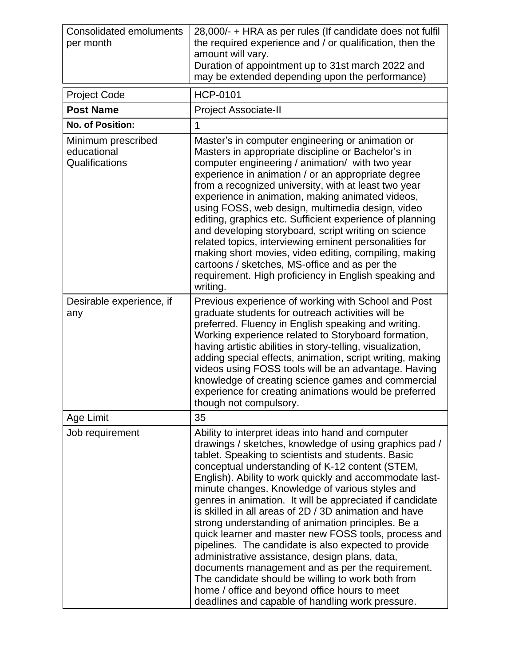| <b>Consolidated emoluments</b><br>per month         | 28,000/- + HRA as per rules (If candidate does not fulfil<br>the required experience and / or qualification, then the<br>amount will vary.<br>Duration of appointment up to 31st march 2022 and<br>may be extended depending upon the performance)                                                                                                                                                                                                                                                                                                                                                                                                                                                                                                                                                                                                                                            |
|-----------------------------------------------------|-----------------------------------------------------------------------------------------------------------------------------------------------------------------------------------------------------------------------------------------------------------------------------------------------------------------------------------------------------------------------------------------------------------------------------------------------------------------------------------------------------------------------------------------------------------------------------------------------------------------------------------------------------------------------------------------------------------------------------------------------------------------------------------------------------------------------------------------------------------------------------------------------|
| <b>Project Code</b>                                 | <b>HCP-0101</b>                                                                                                                                                                                                                                                                                                                                                                                                                                                                                                                                                                                                                                                                                                                                                                                                                                                                               |
| <b>Post Name</b>                                    | <b>Project Associate-II</b>                                                                                                                                                                                                                                                                                                                                                                                                                                                                                                                                                                                                                                                                                                                                                                                                                                                                   |
| <b>No. of Position:</b>                             | $\mathbf{1}$                                                                                                                                                                                                                                                                                                                                                                                                                                                                                                                                                                                                                                                                                                                                                                                                                                                                                  |
| Minimum prescribed<br>educational<br>Qualifications | Master's in computer engineering or animation or<br>Masters in appropriate discipline or Bachelor's in<br>computer engineering / animation/ with two year<br>experience in animation / or an appropriate degree<br>from a recognized university, with at least two year<br>experience in animation, making animated videos,<br>using FOSS, web design, multimedia design, video<br>editing, graphics etc. Sufficient experience of planning<br>and developing storyboard, script writing on science<br>related topics, interviewing eminent personalities for<br>making short movies, video editing, compiling, making<br>cartoons / sketches, MS-office and as per the<br>requirement. High proficiency in English speaking and<br>writing.                                                                                                                                                  |
| Desirable experience, if<br>any                     | Previous experience of working with School and Post<br>graduate students for outreach activities will be<br>preferred. Fluency in English speaking and writing.<br>Working experience related to Storyboard formation,<br>having artistic abilities in story-telling, visualization,<br>adding special effects, animation, script writing, making<br>videos using FOSS tools will be an advantage. Having<br>knowledge of creating science games and commercial<br>experience for creating animations would be preferred<br>though not compulsory.                                                                                                                                                                                                                                                                                                                                            |
| Age Limit                                           | 35                                                                                                                                                                                                                                                                                                                                                                                                                                                                                                                                                                                                                                                                                                                                                                                                                                                                                            |
| Job requirement                                     | Ability to interpret ideas into hand and computer<br>drawings / sketches, knowledge of using graphics pad /<br>tablet. Speaking to scientists and students. Basic<br>conceptual understanding of K-12 content (STEM,<br>English). Ability to work quickly and accommodate last-<br>minute changes. Knowledge of various styles and<br>genres in animation. It will be appreciated if candidate<br>is skilled in all areas of 2D / 3D animation and have<br>strong understanding of animation principles. Be a<br>quick learner and master new FOSS tools, process and<br>pipelines. The candidate is also expected to provide<br>administrative assistance, design plans, data,<br>documents management and as per the requirement.<br>The candidate should be willing to work both from<br>home / office and beyond office hours to meet<br>deadlines and capable of handling work pressure. |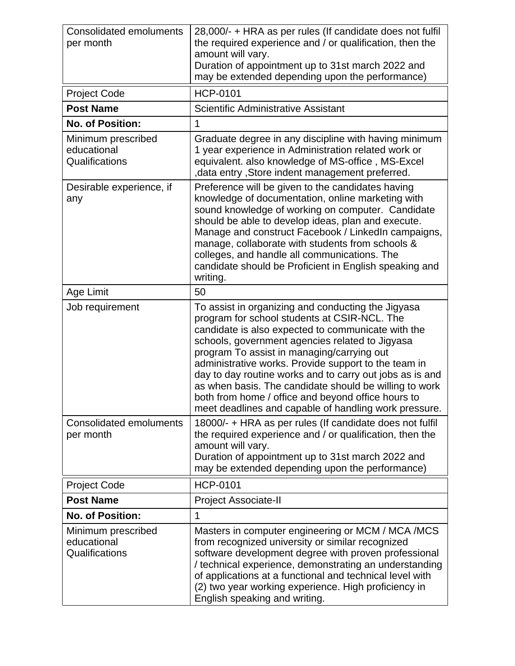| <b>Consolidated emoluments</b><br>per month         | 28,000/- + HRA as per rules (If candidate does not fulfil<br>the required experience and / or qualification, then the<br>amount will vary.<br>Duration of appointment up to 31st march 2022 and<br>may be extended depending upon the performance)                                                                                                                                                                                                                                                                                                     |
|-----------------------------------------------------|--------------------------------------------------------------------------------------------------------------------------------------------------------------------------------------------------------------------------------------------------------------------------------------------------------------------------------------------------------------------------------------------------------------------------------------------------------------------------------------------------------------------------------------------------------|
| <b>Project Code</b>                                 | <b>HCP-0101</b>                                                                                                                                                                                                                                                                                                                                                                                                                                                                                                                                        |
| <b>Post Name</b>                                    | <b>Scientific Administrative Assistant</b>                                                                                                                                                                                                                                                                                                                                                                                                                                                                                                             |
| <b>No. of Position:</b>                             | 1                                                                                                                                                                                                                                                                                                                                                                                                                                                                                                                                                      |
| Minimum prescribed<br>educational<br>Qualifications | Graduate degree in any discipline with having minimum<br>1 year experience in Administration related work or<br>equivalent. also knowledge of MS-office, MS-Excel<br>, data entry, Store indent management preferred.                                                                                                                                                                                                                                                                                                                                  |
| Desirable experience, if<br>any                     | Preference will be given to the candidates having<br>knowledge of documentation, online marketing with<br>sound knowledge of working on computer. Candidate<br>should be able to develop ideas, plan and execute.<br>Manage and construct Facebook / LinkedIn campaigns,<br>manage, collaborate with students from schools &<br>colleges, and handle all communications. The<br>candidate should be Proficient in English speaking and<br>writing.                                                                                                     |
| Age Limit                                           | 50                                                                                                                                                                                                                                                                                                                                                                                                                                                                                                                                                     |
| Job requirement                                     | To assist in organizing and conducting the Jigyasa<br>program for school students at CSIR-NCL. The<br>candidate is also expected to communicate with the<br>schools, government agencies related to Jigyasa<br>program To assist in managing/carrying out<br>administrative works. Provide support to the team in<br>day to day routine works and to carry out jobs as is and<br>as when basis. The candidate should be willing to work<br>both from home / office and beyond office hours to<br>meet deadlines and capable of handling work pressure. |
| <b>Consolidated emoluments</b><br>per month         | 18000/- + HRA as per rules (If candidate does not fulfil<br>the required experience and / or qualification, then the<br>amount will vary.<br>Duration of appointment up to 31st march 2022 and<br>may be extended depending upon the performance)                                                                                                                                                                                                                                                                                                      |
| <b>Project Code</b>                                 | <b>HCP-0101</b>                                                                                                                                                                                                                                                                                                                                                                                                                                                                                                                                        |
| <b>Post Name</b>                                    | <b>Project Associate-II</b>                                                                                                                                                                                                                                                                                                                                                                                                                                                                                                                            |
| <b>No. of Position:</b>                             | 1                                                                                                                                                                                                                                                                                                                                                                                                                                                                                                                                                      |
| Minimum prescribed<br>educational<br>Qualifications | Masters in computer engineering or MCM / MCA / MCS<br>from recognized university or similar recognized<br>software development degree with proven professional<br>/ technical experience, demonstrating an understanding<br>of applications at a functional and technical level with<br>(2) two year working experience. High proficiency in<br>English speaking and writing.                                                                                                                                                                          |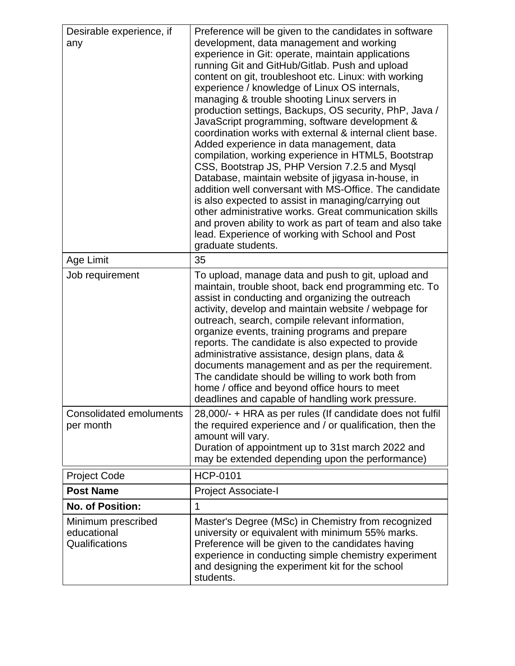| Desirable experience, if<br>any                     | Preference will be given to the candidates in software<br>development, data management and working<br>experience in Git: operate, maintain applications<br>running Git and GitHub/Gitlab. Push and upload<br>content on git, troubleshoot etc. Linux: with working<br>experience / knowledge of Linux OS internals,<br>managing & trouble shooting Linux servers in<br>production settings, Backups, OS security, PhP, Java /<br>JavaScript programming, software development &<br>coordination works with external & internal client base.<br>Added experience in data management, data<br>compilation, working experience in HTML5, Bootstrap<br>CSS, Bootstrap JS, PHP Version 7.2.5 and Mysql<br>Database, maintain website of jigyasa in-house, in<br>addition well conversant with MS-Office. The candidate<br>is also expected to assist in managing/carrying out<br>other administrative works. Great communication skills<br>and proven ability to work as part of team and also take<br>lead. Experience of working with School and Post<br>graduate students. |
|-----------------------------------------------------|--------------------------------------------------------------------------------------------------------------------------------------------------------------------------------------------------------------------------------------------------------------------------------------------------------------------------------------------------------------------------------------------------------------------------------------------------------------------------------------------------------------------------------------------------------------------------------------------------------------------------------------------------------------------------------------------------------------------------------------------------------------------------------------------------------------------------------------------------------------------------------------------------------------------------------------------------------------------------------------------------------------------------------------------------------------------------|
| Age Limit                                           | 35                                                                                                                                                                                                                                                                                                                                                                                                                                                                                                                                                                                                                                                                                                                                                                                                                                                                                                                                                                                                                                                                       |
| Job requirement                                     | To upload, manage data and push to git, upload and<br>maintain, trouble shoot, back end programming etc. To<br>assist in conducting and organizing the outreach<br>activity, develop and maintain website / webpage for<br>outreach, search, compile relevant information,<br>organize events, training programs and prepare<br>reports. The candidate is also expected to provide<br>administrative assistance, design plans, data &<br>documents management and as per the requirement.<br>The candidate should be willing to work both from<br>home / office and beyond office hours to meet<br>deadlines and capable of handling work pressure.                                                                                                                                                                                                                                                                                                                                                                                                                      |
| <b>Consolidated emoluments</b><br>per month         | 28,000/- + HRA as per rules (If candidate does not fulfil<br>the required experience and / or qualification, then the<br>amount will vary.<br>Duration of appointment up to 31st march 2022 and<br>may be extended depending upon the performance)                                                                                                                                                                                                                                                                                                                                                                                                                                                                                                                                                                                                                                                                                                                                                                                                                       |
| <b>Project Code</b>                                 | <b>HCP-0101</b>                                                                                                                                                                                                                                                                                                                                                                                                                                                                                                                                                                                                                                                                                                                                                                                                                                                                                                                                                                                                                                                          |
| <b>Post Name</b>                                    | <b>Project Associate-I</b>                                                                                                                                                                                                                                                                                                                                                                                                                                                                                                                                                                                                                                                                                                                                                                                                                                                                                                                                                                                                                                               |
| <b>No. of Position:</b>                             | 1                                                                                                                                                                                                                                                                                                                                                                                                                                                                                                                                                                                                                                                                                                                                                                                                                                                                                                                                                                                                                                                                        |
| Minimum prescribed<br>educational<br>Qualifications | Master's Degree (MSc) in Chemistry from recognized<br>university or equivalent with minimum 55% marks.<br>Preference will be given to the candidates having<br>experience in conducting simple chemistry experiment<br>and designing the experiment kit for the school<br>students.                                                                                                                                                                                                                                                                                                                                                                                                                                                                                                                                                                                                                                                                                                                                                                                      |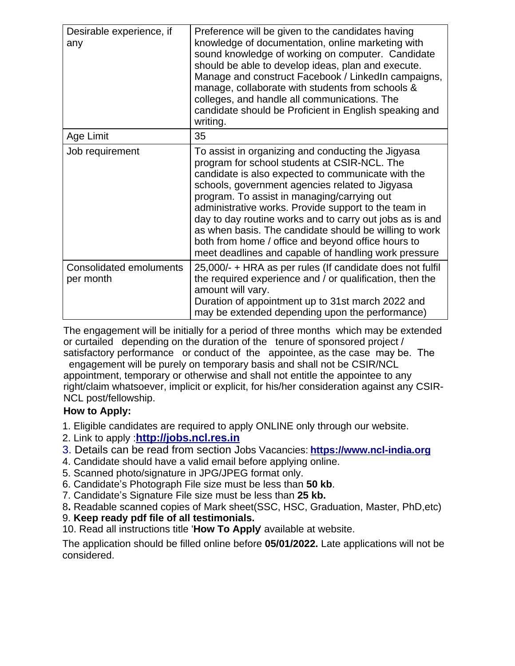| Desirable experience, if<br>any             | Preference will be given to the candidates having<br>knowledge of documentation, online marketing with<br>sound knowledge of working on computer. Candidate<br>should be able to develop ideas, plan and execute.<br>Manage and construct Facebook / LinkedIn campaigns,<br>manage, collaborate with students from schools &<br>colleges, and handle all communications. The<br>candidate should be Proficient in English speaking and<br>writing.                                                                                                     |
|---------------------------------------------|--------------------------------------------------------------------------------------------------------------------------------------------------------------------------------------------------------------------------------------------------------------------------------------------------------------------------------------------------------------------------------------------------------------------------------------------------------------------------------------------------------------------------------------------------------|
| Age Limit                                   | 35                                                                                                                                                                                                                                                                                                                                                                                                                                                                                                                                                     |
| Job requirement                             | To assist in organizing and conducting the Jigyasa<br>program for school students at CSIR-NCL. The<br>candidate is also expected to communicate with the<br>schools, government agencies related to Jigyasa<br>program. To assist in managing/carrying out<br>administrative works. Provide support to the team in<br>day to day routine works and to carry out jobs as is and<br>as when basis. The candidate should be willing to work<br>both from home / office and beyond office hours to<br>meet deadlines and capable of handling work pressure |
| <b>Consolidated emoluments</b><br>per month | 25,000/- + HRA as per rules (If candidate does not fulfil<br>the required experience and / or qualification, then the<br>amount will vary.<br>Duration of appointment up to 31st march 2022 and<br>may be extended depending upon the performance)                                                                                                                                                                                                                                                                                                     |

The engagement will be initially for a period of three months which may be extended or curtailed depending on the duration of the tenure of sponsored project / satisfactory performance or conduct of the appointee, as the case may be. The

 engagement will be purely on temporary basis and shall not be CSIR/NCL appointment, temporary or otherwise and shall not entitle the appointee to any right/claim whatsoever, implicit or explicit, for his/her consideration against any CSIR-NCL post/fellowship.

### **How to Apply:**

- 1. Eligible candidates are required to apply ONLINE only through our website.
- 2. Link to apply :**[http://jobs.ncl.res.in](http://jobs.ncl.res.in/)**
- 3. Details can be read from section Jobs Vacancies: **[https://www.ncl-india.org](https://www.ncl-india.org/files/JoinUs/JobVacancies/TemporaryJobs.aspx)**
- 4. Candidate should have a valid email before applying online.
- 5. Scanned photo/signature in JPG/JPEG format only.
- 6. Candidate's Photograph File size must be less than **50 kb**.
- 7. Candidate's Signature File size must be less than **25 kb.**
- 8**.** Readable scanned copies of Mark sheet(SSC, HSC, Graduation, Master, PhD,etc)
- 9. **Keep ready pdf file of all testimonials.**
- 10. Read all instructions title '**How To Apply**' available at website.

The application should be filled online before **05/01/2022.** Late applications will not be considered.